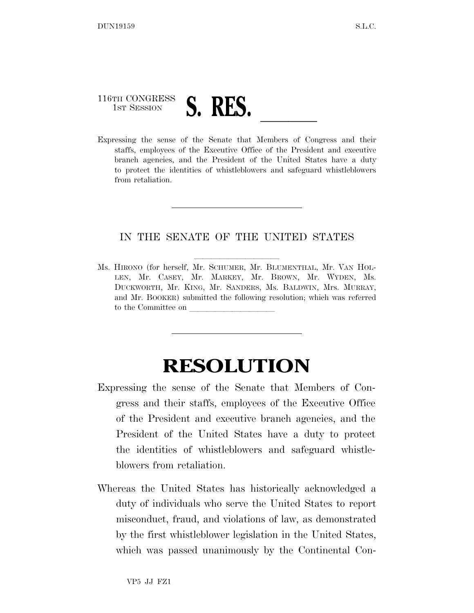## 116TH CONGRESS 1ST SESSION **S. RES. LLS. Expressing the sense of the Senate that Members of Congress and their**

staffs, employees of the Executive Office of the President and executive branch agencies, and the President of the United States have a duty to protect the identities of whistleblowers and safeguard whistleblowers from retaliation.

## IN THE SENATE OF THE UNITED STATES

Ms. HIRONO (for herself, Mr. SCHUMER, Mr. BLUMENTHAL, Mr. VAN HOL-LEN, Mr. CASEY, Mr. MARKEY, Mr. BROWN, Mr. WYDEN, Ms. DUCKWORTH, Mr. KING, Mr. SANDERS, Ms. BALDWIN, Mrs. MURRAY, and Mr. BOOKER) submitted the following resolution; which was referred to the Committee on

## **RESOLUTION**

- Expressing the sense of the Senate that Members of Congress and their staffs, employees of the Executive Office of the President and executive branch agencies, and the President of the United States have a duty to protect the identities of whistleblowers and safeguard whistleblowers from retaliation.
- Whereas the United States has historically acknowledged a duty of individuals who serve the United States to report misconduct, fraud, and violations of law, as demonstrated by the first whistleblower legislation in the United States, which was passed unanimously by the Continental Con-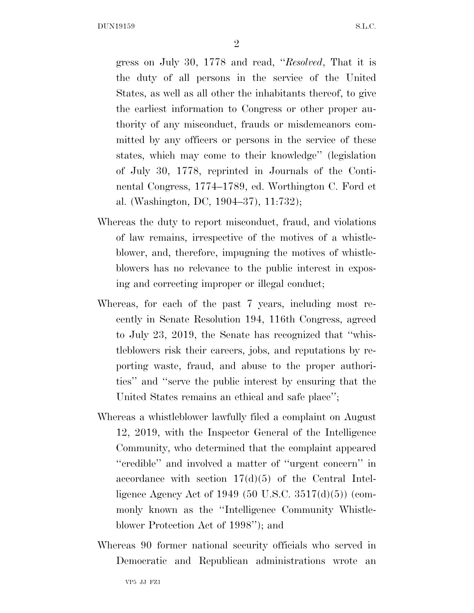DUN19159 S.L.C.

2

gress on July 30, 1778 and read, ''*Resolved*, That it is the duty of all persons in the service of the United States, as well as all other the inhabitants thereof, to give the earliest information to Congress or other proper authority of any misconduct, frauds or misdemeanors committed by any officers or persons in the service of these states, which may come to their knowledge'' (legislation of July 30, 1778, reprinted in Journals of the Continental Congress, 1774–1789, ed. Worthington C. Ford et al. (Washington, DC, 1904–37), 11:732);

- Whereas the duty to report misconduct, fraud, and violations of law remains, irrespective of the motives of a whistleblower, and, therefore, impugning the motives of whistleblowers has no relevance to the public interest in exposing and correcting improper or illegal conduct;
- Whereas, for each of the past 7 years, including most recently in Senate Resolution 194, 116th Congress, agreed to July 23, 2019, the Senate has recognized that ''whistleblowers risk their careers, jobs, and reputations by reporting waste, fraud, and abuse to the proper authorities'' and ''serve the public interest by ensuring that the United States remains an ethical and safe place'';
- Whereas a whistleblower lawfully filed a complaint on August 12, 2019, with the Inspector General of the Intelligence Community, who determined that the complaint appeared ''credible'' and involved a matter of ''urgent concern'' in accordance with section  $17(d)(5)$  of the Central Intelligence Agency Act of 1949 (50 U.S.C. 3517(d)(5)) (commonly known as the ''Intelligence Community Whistleblower Protection Act of 1998''); and
- Whereas 90 former national security officials who served in Democratic and Republican administrations wrote an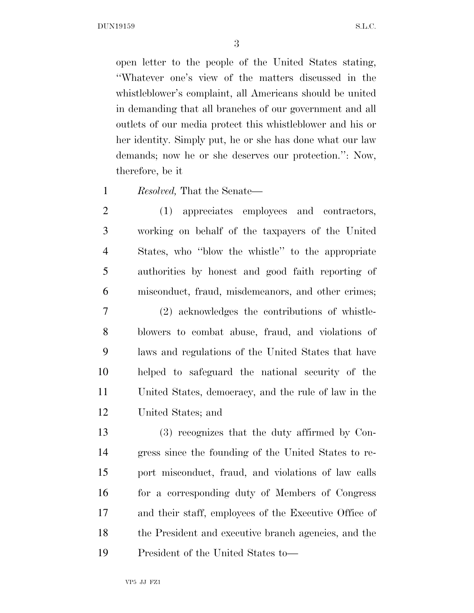DUN19159 S.L.C.

open letter to the people of the United States stating, ''Whatever one's view of the matters discussed in the whistleblower's complaint, all Americans should be united in demanding that all branches of our government and all outlets of our media protect this whistleblower and his or her identity. Simply put, he or she has done what our law demands; now he or she deserves our protection.'': Now, therefore, be it

*Resolved,* That the Senate—

 (1) appreciates employees and contractors, working on behalf of the taxpayers of the United States, who ''blow the whistle'' to the appropriate authorities by honest and good faith reporting of misconduct, fraud, misdemeanors, and other crimes;

 (2) acknowledges the contributions of whistle- blowers to combat abuse, fraud, and violations of laws and regulations of the United States that have helped to safeguard the national security of the United States, democracy, and the rule of law in the United States; and

 (3) recognizes that the duty affirmed by Con- gress since the founding of the United States to re- port misconduct, fraud, and violations of law calls 16 for a corresponding duty of Members of Congress and their staff, employees of the Executive Office of the President and executive branch agencies, and the President of the United States to